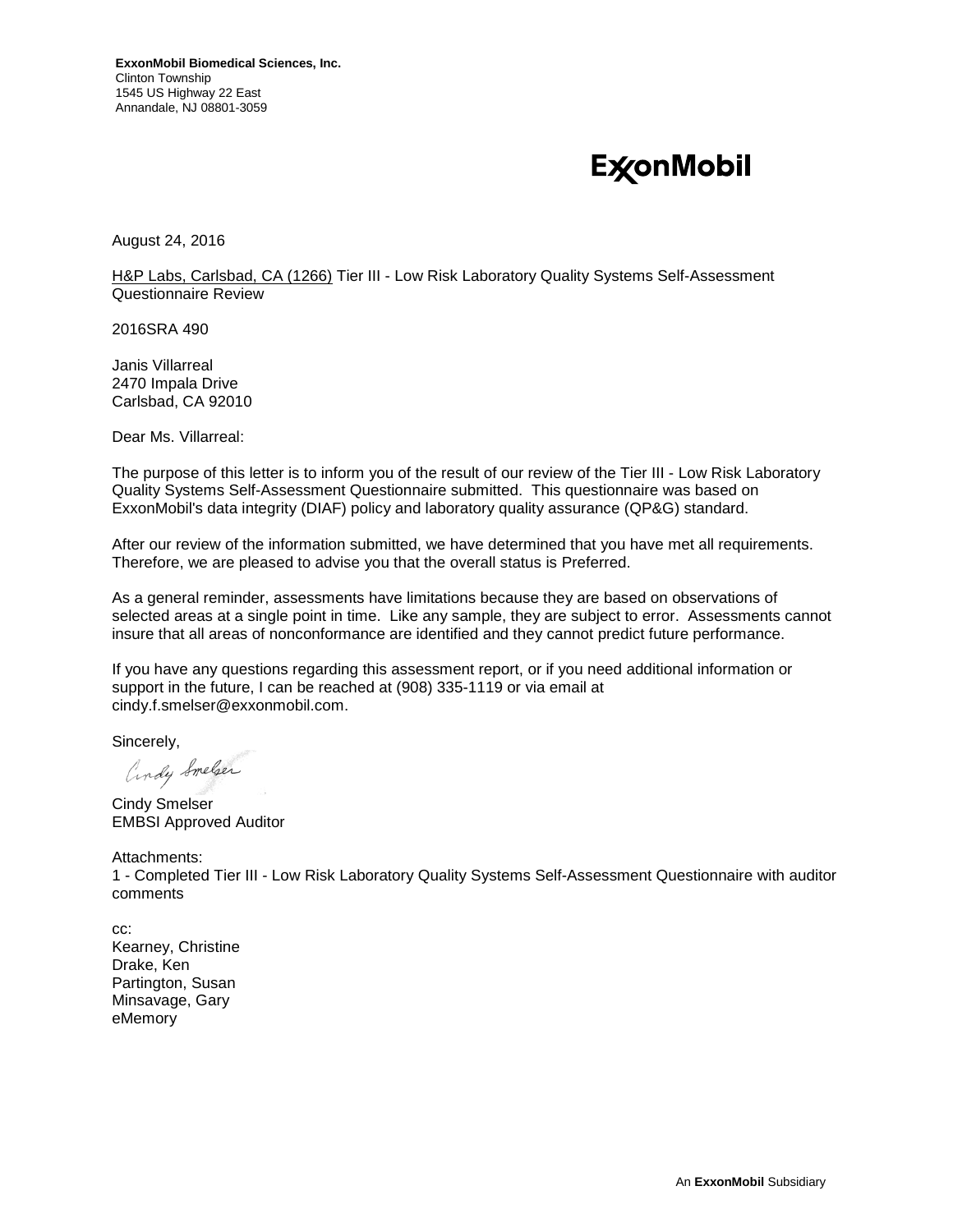# **ExconMobil**

August 24, 2016

H&P Labs, Carlsbad, CA (1266) Tier III - Low Risk Laboratory Quality Systems Self-Assessment Questionnaire Review

2016SRA 490

Janis Villarreal 2470 Impala Drive Carlsbad, CA 92010

Dear Ms. Villarreal:

The purpose of this letter is to inform you of the result of our review of the Tier III - Low Risk Laboratory Quality Systems Self-Assessment Questionnaire submitted. This questionnaire was based on ExxonMobil's data integrity (DIAF) policy and laboratory quality assurance (QP&G) standard.

After our review of the information submitted, we have determined that you have met all requirements. Therefore, we are pleased to advise you that the overall status is Preferred.

As a general reminder, assessments have limitations because they are based on observations of selected areas at a single point in time. Like any sample, they are subject to error. Assessments cannot insure that all areas of nonconformance are identified and they cannot predict future performance.

If you have any questions regarding this assessment report, or if you need additional information or support in the future, I can be reached at (908) 335-1119 or via email at cindy.f.smelser@exxonmobil.com.

Sincerely,

andy Smelser

Cindy Smelser EMBSI Approved Auditor

Attachments: 1 - Completed Tier III - Low Risk Laboratory Quality Systems Self-Assessment Questionnaire with auditor comments

cc: Kearney, Christine Drake, Ken Partington, Susan Minsavage, Gary eMemory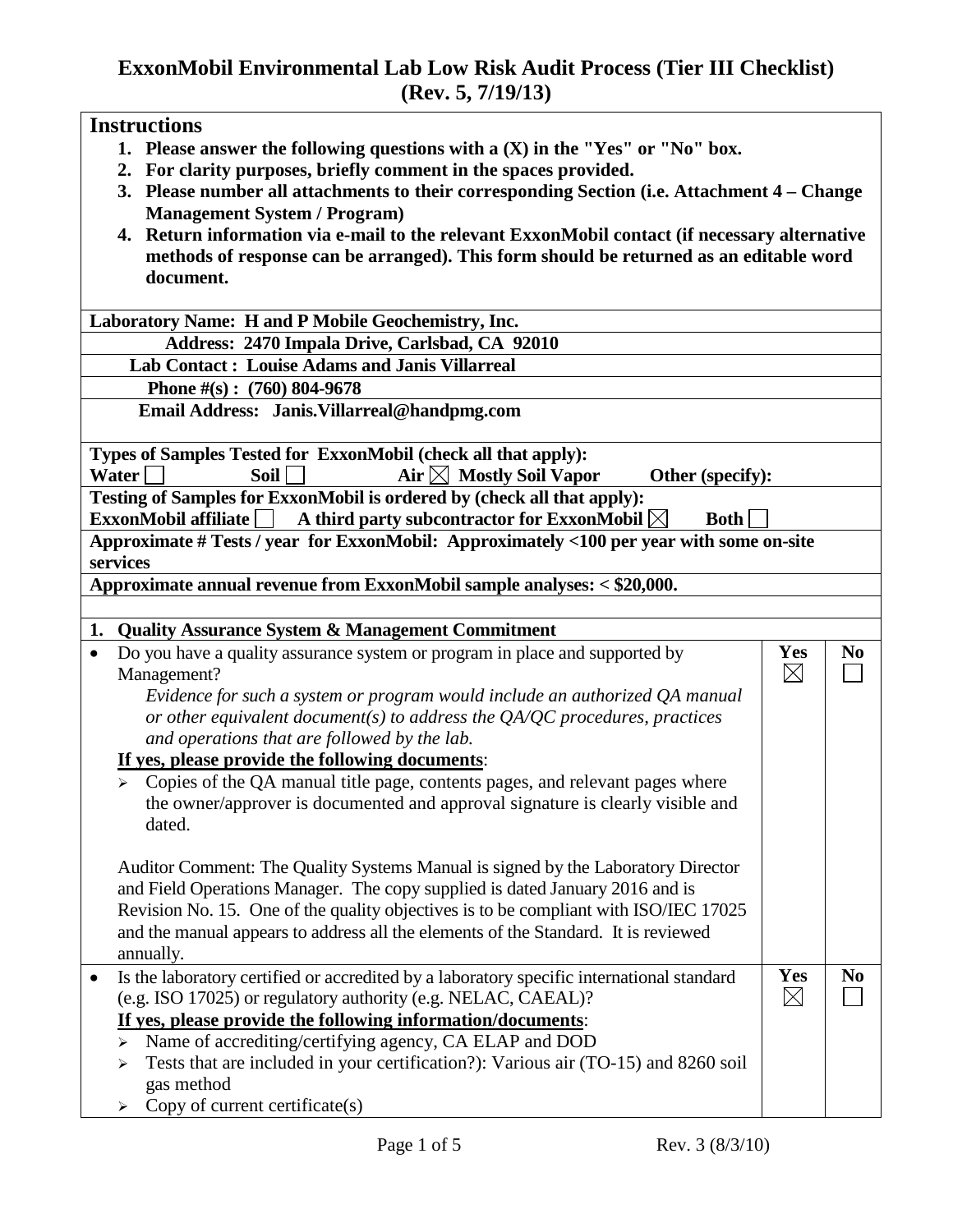# **ExxonMobil Environmental Lab Low Risk Audit Process (Tier III Checklist) (Rev. 5, 7/19/13)**

|           | <b>Instructions</b>                                                                                      |             |                |
|-----------|----------------------------------------------------------------------------------------------------------|-------------|----------------|
|           | 1. Please answer the following questions with a $(X)$ in the "Yes" or "No" box.                          |             |                |
|           | 2. For clarity purposes, briefly comment in the spaces provided.                                         |             |                |
|           | 3. Please number all attachments to their corresponding Section (i.e. Attachment 4 – Change              |             |                |
|           | <b>Management System / Program)</b>                                                                      |             |                |
|           | 4. Return information via e-mail to the relevant ExxonMobil contact (if necessary alternative            |             |                |
|           | methods of response can be arranged). This form should be returned as an editable word                   |             |                |
|           | document.                                                                                                |             |                |
|           |                                                                                                          |             |                |
|           | Laboratory Name: H and P Mobile Geochemistry, Inc.                                                       |             |                |
|           | Address: 2470 Impala Drive, Carlsbad, CA 92010                                                           |             |                |
|           | <b>Lab Contact: Louise Adams and Janis Villarreal</b>                                                    |             |                |
|           | Phone $\#(s)$ : (760) 804-9678                                                                           |             |                |
|           | Email Address: Janis. Villarreal@handpmg.com                                                             |             |                |
|           |                                                                                                          |             |                |
|           | Types of Samples Tested for ExxonMobil (check all that apply):                                           |             |                |
|           | Air $\boxtimes$ Mostly Soil Vapor<br>Water<br><b>Soil</b><br>Other (specify):                            |             |                |
|           | Testing of Samples for ExxonMobil is ordered by (check all that apply):                                  |             |                |
|           | $\textbf{ExxonMobil}$ affiliate<br>A third party subcontractor for ExxonMobil $\boxtimes$<br><b>Both</b> |             |                |
|           | Approximate # Tests / year for ExxonMobil: Approximately <100 per year with some on-site                 |             |                |
|           | services                                                                                                 |             |                |
|           | Approximate annual revenue from ExxonMobil sample analyses: < \$20,000.                                  |             |                |
|           |                                                                                                          |             |                |
|           | 1. Quality Assurance System & Management Commitment                                                      |             |                |
| $\bullet$ | Do you have a quality assurance system or program in place and supported by                              | Yes         | N <sub>0</sub> |
|           | Management?                                                                                              | $\boxtimes$ |                |
|           | Evidence for such a system or program would include an authorized QA manual                              |             |                |
|           | or other equivalent document(s) to address the $QA/QC$ procedures, practices                             |             |                |
|           | and operations that are followed by the lab.                                                             |             |                |
|           | If yes, please provide the following documents:                                                          |             |                |
|           | Copies of the QA manual title page, contents pages, and relevant pages where                             |             |                |
|           | the owner/approver is documented and approval signature is clearly visible and                           |             |                |
|           | dated.                                                                                                   |             |                |
|           |                                                                                                          |             |                |
|           | Auditor Comment: The Quality Systems Manual is signed by the Laboratory Director                         |             |                |
|           | and Field Operations Manager. The copy supplied is dated January 2016 and is                             |             |                |
|           | Revision No. 15. One of the quality objectives is to be compliant with ISO/IEC 17025                     |             |                |
|           | and the manual appears to address all the elements of the Standard. It is reviewed                       |             |                |
|           |                                                                                                          |             |                |
|           | annually.<br>Is the laboratory certified or accredited by a laboratory specific international standard   | Yes         | N <sub>0</sub> |
| $\bullet$ |                                                                                                          |             |                |
|           |                                                                                                          |             |                |
|           | (e.g. ISO 17025) or regulatory authority (e.g. NELAC, CAEAL)?                                            | $\boxtimes$ |                |
|           | If yes, please provide the following information/documents:                                              |             |                |
|           | Name of accrediting/certifying agency, CA ELAP and DOD<br>↘                                              |             |                |
|           | Tests that are included in your certification?): Various air (TO-15) and 8260 soil                       |             |                |
|           | gas method<br>Copy of current certificate(s)                                                             |             |                |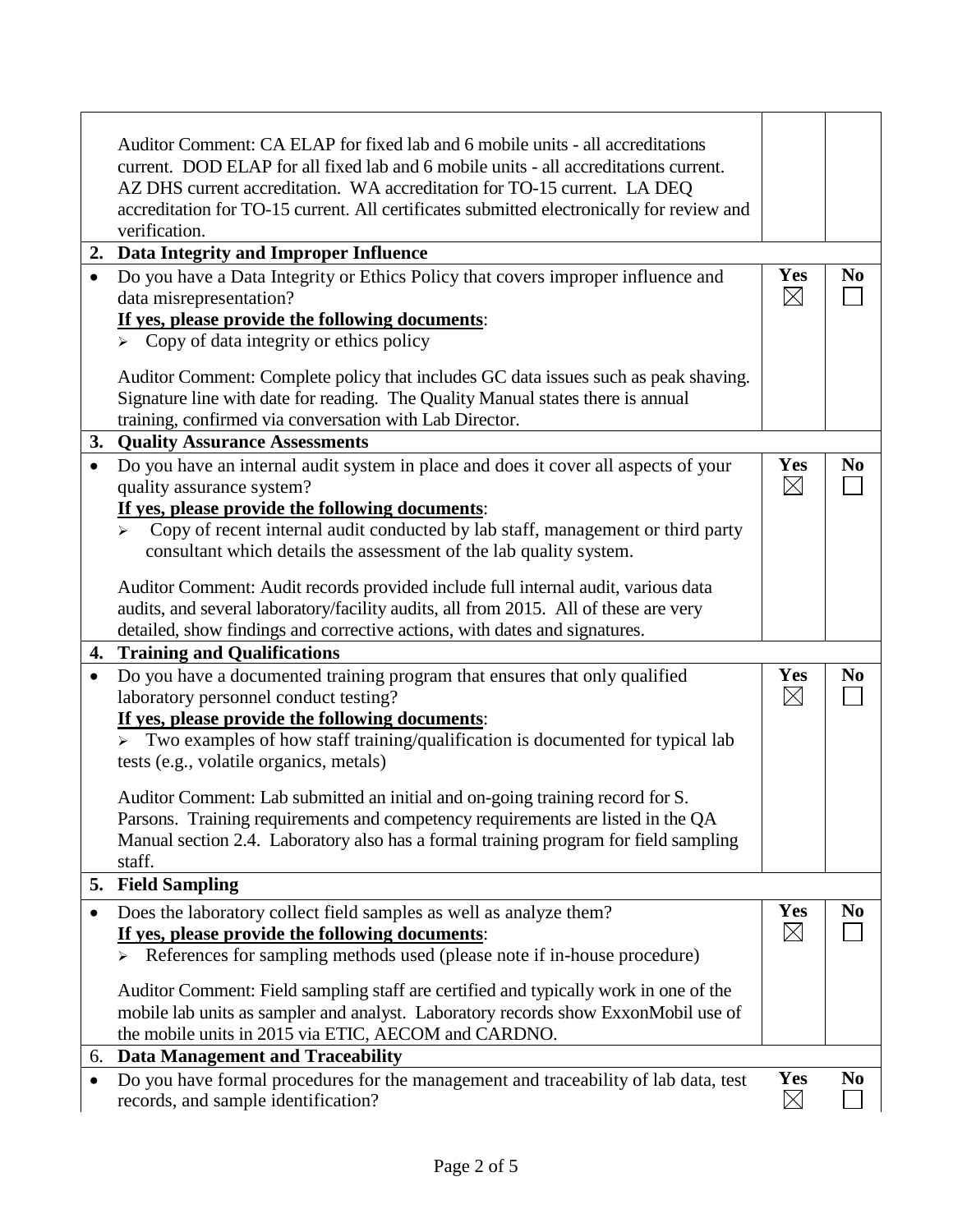|           | Auditor Comment: CA ELAP for fixed lab and 6 mobile units - all accreditations<br>current. DOD ELAP for all fixed lab and 6 mobile units - all accreditations current.<br>AZ DHS current accreditation. WA accreditation for TO-15 current. LA DEQ |                    |                |
|-----------|----------------------------------------------------------------------------------------------------------------------------------------------------------------------------------------------------------------------------------------------------|--------------------|----------------|
|           | accreditation for TO-15 current. All certificates submitted electronically for review and<br>verification.                                                                                                                                         |                    |                |
|           | 2. Data Integrity and Improper Influence                                                                                                                                                                                                           |                    |                |
| $\bullet$ | Do you have a Data Integrity or Ethics Policy that covers improper influence and                                                                                                                                                                   | Yes                | N <sub>0</sub> |
|           | data misrepresentation?                                                                                                                                                                                                                            | $\boxtimes$        |                |
|           | If yes, please provide the following documents:                                                                                                                                                                                                    |                    |                |
|           | $\triangleright$ Copy of data integrity or ethics policy                                                                                                                                                                                           |                    |                |
|           | Auditor Comment: Complete policy that includes GC data issues such as peak shaving.                                                                                                                                                                |                    |                |
|           | Signature line with date for reading. The Quality Manual states there is annual                                                                                                                                                                    |                    |                |
|           | training, confirmed via conversation with Lab Director.                                                                                                                                                                                            |                    |                |
|           | 3. Quality Assurance Assessments                                                                                                                                                                                                                   |                    |                |
|           | Do you have an internal audit system in place and does it cover all aspects of your                                                                                                                                                                | Yes                | N <sub>0</sub> |
|           | quality assurance system?                                                                                                                                                                                                                          | $\boxtimes$        |                |
|           | If yes, please provide the following documents:                                                                                                                                                                                                    |                    |                |
|           | Copy of recent internal audit conducted by lab staff, management or third party<br>$\blacktriangleright$                                                                                                                                           |                    |                |
|           | consultant which details the assessment of the lab quality system.                                                                                                                                                                                 |                    |                |
|           | Auditor Comment: Audit records provided include full internal audit, various data                                                                                                                                                                  |                    |                |
|           | audits, and several laboratory/facility audits, all from 2015. All of these are very                                                                                                                                                               |                    |                |
|           | detailed, show findings and corrective actions, with dates and signatures.                                                                                                                                                                         |                    |                |
|           | 4. Training and Qualifications                                                                                                                                                                                                                     |                    |                |
| $\bullet$ | Do you have a documented training program that ensures that only qualified                                                                                                                                                                         | <b>Yes</b>         | N <sub>0</sub> |
|           | laboratory personnel conduct testing?                                                                                                                                                                                                              | $\boxtimes$        |                |
|           | If yes, please provide the following documents:                                                                                                                                                                                                    |                    |                |
|           | $\triangleright$ Two examples of how staff training/qualification is documented for typical lab                                                                                                                                                    |                    |                |
|           | tests (e.g., volatile organics, metals)                                                                                                                                                                                                            |                    |                |
|           | Auditor Comment: Lab submitted an initial and on-going training record for S.                                                                                                                                                                      |                    |                |
|           | Parsons. Training requirements and competency requirements are listed in the QA                                                                                                                                                                    |                    |                |
|           | Manual section 2.4. Laboratory also has a formal training program for field sampling                                                                                                                                                               |                    |                |
|           | staff.                                                                                                                                                                                                                                             |                    |                |
|           | 5. Field Sampling                                                                                                                                                                                                                                  |                    |                |
| $\bullet$ | Does the laboratory collect field samples as well as analyze them?                                                                                                                                                                                 | Yes                | N <sub>0</sub> |
|           | If yes, please provide the following documents:                                                                                                                                                                                                    | $\boxtimes$        |                |
|           | References for sampling methods used (please note if in-house procedure)<br>$\blacktriangleright$                                                                                                                                                  |                    |                |
|           | Auditor Comment: Field sampling staff are certified and typically work in one of the                                                                                                                                                               |                    |                |
|           | mobile lab units as sampler and analyst. Laboratory records show ExxonMobil use of                                                                                                                                                                 |                    |                |
|           | the mobile units in 2015 via ETIC, AECOM and CARDNO.                                                                                                                                                                                               |                    |                |
|           |                                                                                                                                                                                                                                                    |                    |                |
|           | 6. Data Management and Traceability                                                                                                                                                                                                                |                    |                |
| $\bullet$ | Do you have formal procedures for the management and traceability of lab data, test                                                                                                                                                                | Yes<br>$\boxtimes$ | N <sub>0</sub> |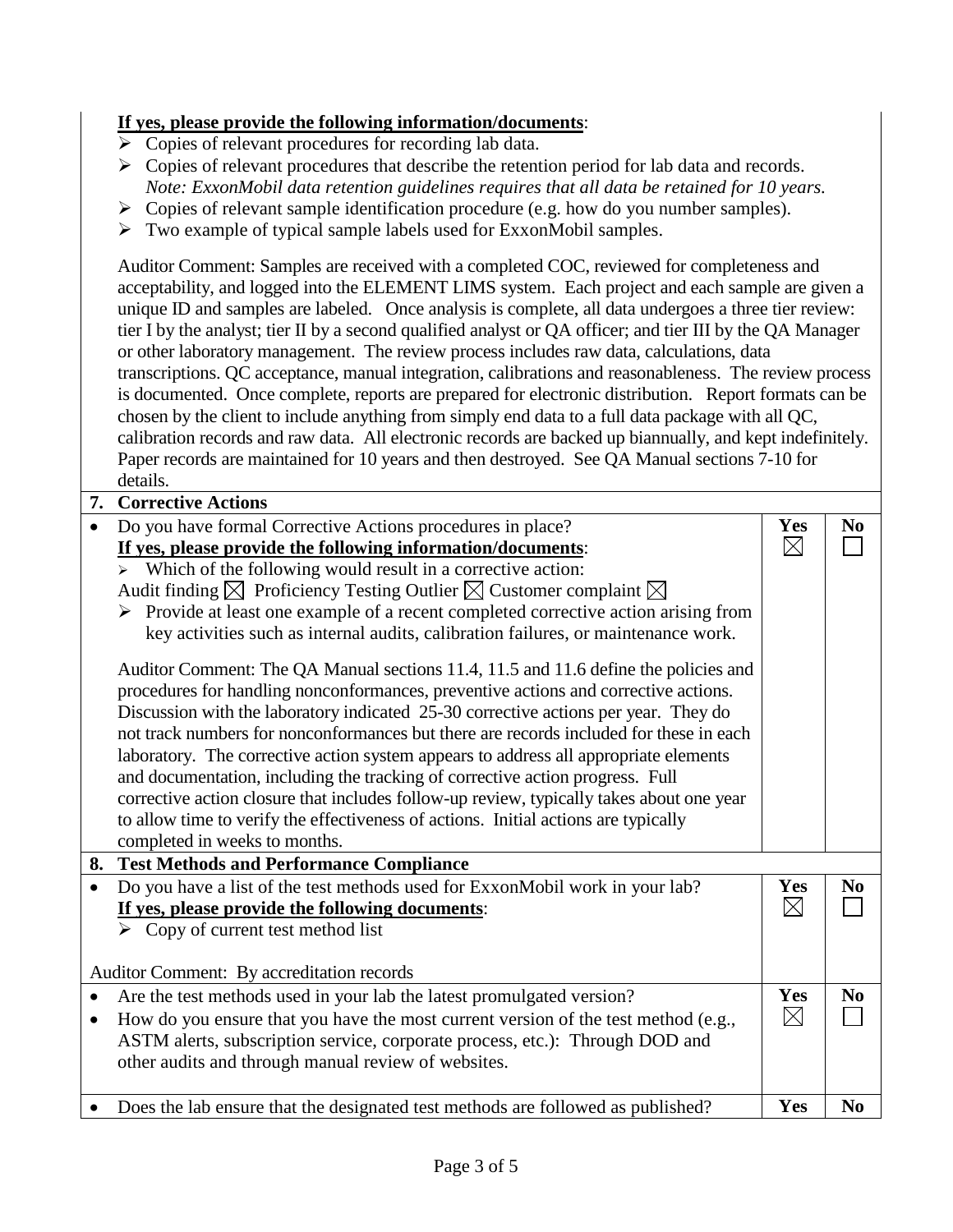#### **If yes, please provide the following information/documents**:

- $\triangleright$  Copies of relevant procedures for recording lab data.
- $\triangleright$  Copies of relevant procedures that describe the retention period for lab data and records. *Note: ExxonMobil data retention guidelines requires that all data be retained for 10 years.*
- $\triangleright$  Copies of relevant sample identification procedure (e.g. how do you number samples).
- $\triangleright$  Two example of typical sample labels used for ExxonMobil samples.

Auditor Comment: Samples are received with a completed COC, reviewed for completeness and acceptability, and logged into the ELEMENT LIMS system. Each project and each sample are given a unique ID and samples are labeled. Once analysis is complete, all data undergoes a three tier review: tier I by the analyst; tier II by a second qualified analyst or QA officer; and tier III by the QA Manager or other laboratory management. The review process includes raw data, calculations, data transcriptions. QC acceptance, manual integration, calibrations and reasonableness. The review process is documented. Once complete, reports are prepared for electronic distribution. Report formats can be chosen by the client to include anything from simply end data to a full data package with all QC, calibration records and raw data. All electronic records are backed up biannually, and kept indefinitely. Paper records are maintained for 10 years and then destroyed. See QA Manual sections 7-10 for details.

| 7.        | <b>Corrective Actions</b>                                                                                                                                                     |             |                |
|-----------|-------------------------------------------------------------------------------------------------------------------------------------------------------------------------------|-------------|----------------|
|           | Do you have formal Corrective Actions procedures in place?                                                                                                                    | Yes         | N <sub>0</sub> |
|           | If yes, please provide the following information/documents:                                                                                                                   | $\boxtimes$ |                |
|           | Which of the following would result in a corrective action:                                                                                                                   |             |                |
|           | Audit finding $\boxtimes$ Proficiency Testing Outlier $\boxtimes$ Customer complaint $\boxtimes$                                                                              |             |                |
|           | $\triangleright$ Provide at least one example of a recent completed corrective action arising from                                                                            |             |                |
|           | key activities such as internal audits, calibration failures, or maintenance work.                                                                                            |             |                |
|           | Auditor Comment: The QA Manual sections 11.4, 11.5 and 11.6 define the policies and<br>procedures for handling nonconformances, preventive actions and corrective actions.    |             |                |
|           | Discussion with the laboratory indicated 25-30 corrective actions per year. They do<br>not track numbers for nonconformances but there are records included for these in each |             |                |
|           |                                                                                                                                                                               |             |                |
|           | laboratory. The corrective action system appears to address all appropriate elements                                                                                          |             |                |
|           | and documentation, including the tracking of corrective action progress. Full                                                                                                 |             |                |
|           | corrective action closure that includes follow-up review, typically takes about one year                                                                                      |             |                |
|           | to allow time to verify the effectiveness of actions. Initial actions are typically                                                                                           |             |                |
|           | completed in weeks to months.                                                                                                                                                 |             |                |
|           | 8. Test Methods and Performance Compliance                                                                                                                                    |             |                |
|           | Do you have a list of the test methods used for ExxonMobil work in your lab?                                                                                                  | Yes         | N <sub>0</sub> |
|           | If yes, please provide the following documents:                                                                                                                               | $\boxtimes$ |                |
|           | Copy of current test method list                                                                                                                                              |             |                |
|           |                                                                                                                                                                               |             |                |
|           | Auditor Comment: By accreditation records                                                                                                                                     |             |                |
| $\bullet$ | Are the test methods used in your lab the latest promulgated version?                                                                                                         | Yes         | N <sub>0</sub> |
| $\bullet$ | How do you ensure that you have the most current version of the test method (e.g.,                                                                                            | $\boxtimes$ |                |
|           | ASTM alerts, subscription service, corporate process, etc.): Through DOD and                                                                                                  |             |                |
|           | other audits and through manual review of websites.                                                                                                                           |             |                |
|           |                                                                                                                                                                               |             |                |
|           | Does the lab ensure that the designated test methods are followed as published?                                                                                               | Yes         | N <sub>0</sub> |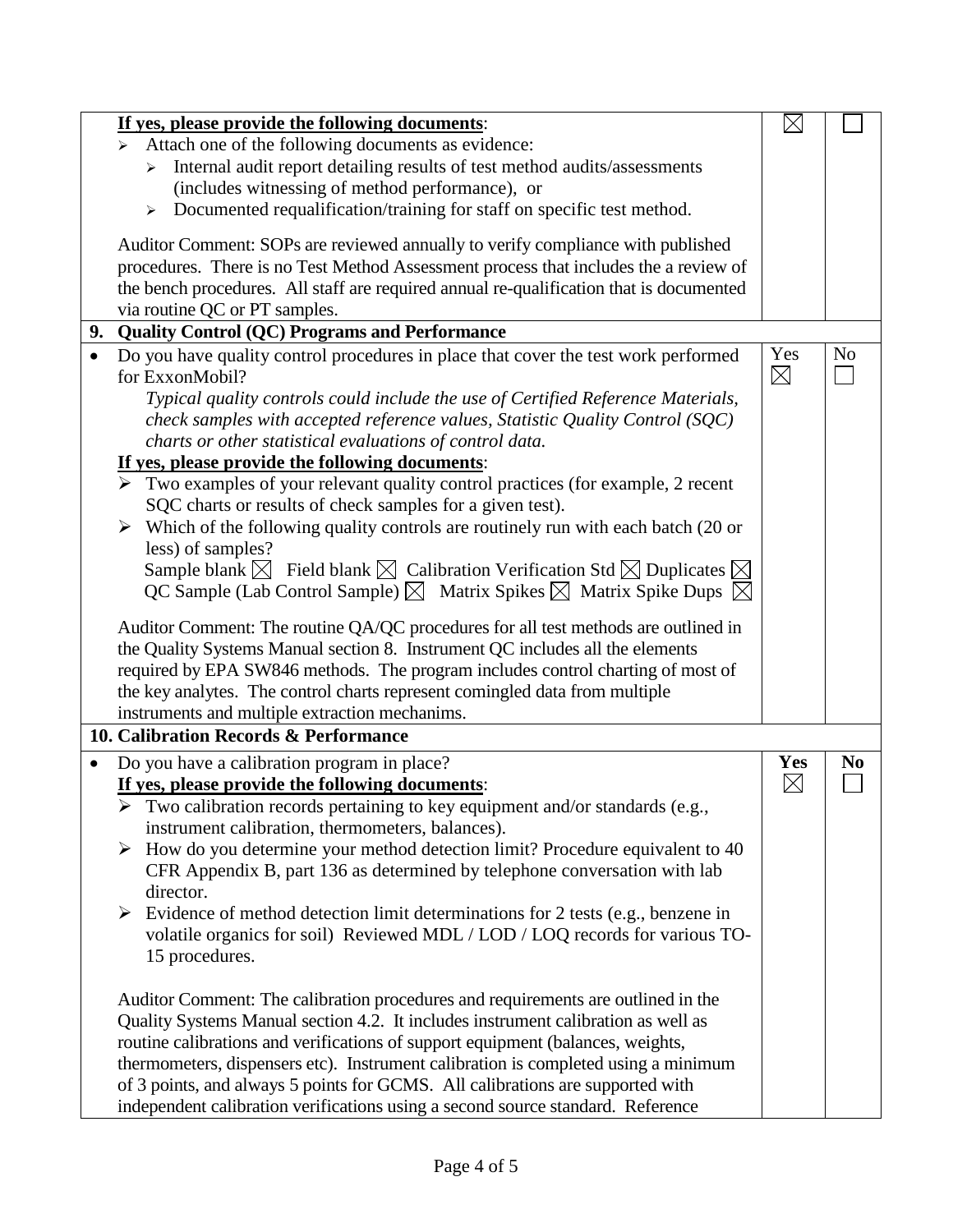|           | If yes, please provide the following documents:                                                                  | $\times$           |                |
|-----------|------------------------------------------------------------------------------------------------------------------|--------------------|----------------|
|           | Attach one of the following documents as evidence:<br>$\blacktriangleright$                                      |                    |                |
|           | Internal audit report detailing results of test method audits/assessments                                        |                    |                |
|           | (includes witnessing of method performance), or                                                                  |                    |                |
|           | Documented requalification/training for staff on specific test method.<br>$\blacktriangleright$                  |                    |                |
|           | Auditor Comment: SOPs are reviewed annually to verify compliance with published                                  |                    |                |
|           | procedures. There is no Test Method Assessment process that includes the a review of                             |                    |                |
|           | the bench procedures. All staff are required annual re-qualification that is documented                          |                    |                |
|           | via routine QC or PT samples.                                                                                    |                    |                |
|           | 9. Quality Control (QC) Programs and Performance                                                                 |                    |                |
|           | Do you have quality control procedures in place that cover the test work performed<br>for ExxonMobil?            | Yes<br>$\boxtimes$ | N <sub>o</sub> |
|           | Typical quality controls could include the use of Certified Reference Materials,                                 |                    |                |
|           | check samples with accepted reference values, Statistic Quality Control (SQC)                                    |                    |                |
|           | charts or other statistical evaluations of control data.                                                         |                    |                |
|           | If yes, please provide the following documents:                                                                  |                    |                |
|           | $\triangleright$ Two examples of your relevant quality control practices (for example, 2 recent                  |                    |                |
|           | SQC charts or results of check samples for a given test).                                                        |                    |                |
|           | $\triangleright$ Which of the following quality controls are routinely run with each batch (20 or                |                    |                |
|           | less) of samples?                                                                                                |                    |                |
|           | Sample blank $\boxtimes$ Field blank $\boxtimes$ Calibration Verification Std $\boxtimes$ Duplicates $\boxtimes$ |                    |                |
|           | QC Sample (Lab Control Sample) $\boxtimes$ Matrix Spikes $\boxtimes$ Matrix Spike Dups $\boxtimes$               |                    |                |
|           | Auditor Comment: The routine QA/QC procedures for all test methods are outlined in                               |                    |                |
|           | the Quality Systems Manual section 8. Instrument QC includes all the elements                                    |                    |                |
|           | required by EPA SW846 methods. The program includes control charting of most of                                  |                    |                |
|           | the key analytes. The control charts represent comingled data from multiple                                      |                    |                |
|           | instruments and multiple extraction mechanims.                                                                   |                    |                |
|           | 10. Calibration Records & Performance                                                                            |                    |                |
| $\bullet$ | Do you have a calibration program in place?                                                                      | Yes                | N <sub>0</sub> |
|           | If yes, please provide the following documents:                                                                  | $\boxtimes$        |                |
|           | $\triangleright$ Two calibration records pertaining to key equipment and/or standards (e.g.,                     |                    |                |
|           | instrument calibration, thermometers, balances).                                                                 |                    |                |
|           | How do you determine your method detection limit? Procedure equivalent to 40                                     |                    |                |
|           | CFR Appendix B, part 136 as determined by telephone conversation with lab                                        |                    |                |
|           | director.                                                                                                        |                    |                |
|           | Evidence of method detection limit determinations for 2 tests (e.g., benzene in                                  |                    |                |
|           | volatile organics for soil) Reviewed MDL / LOD / LOQ records for various TO-                                     |                    |                |
|           |                                                                                                                  |                    |                |
|           | 15 procedures.                                                                                                   |                    |                |
|           | Auditor Comment: The calibration procedures and requirements are outlined in the                                 |                    |                |
|           | Quality Systems Manual section 4.2. It includes instrument calibration as well as                                |                    |                |
|           | routine calibrations and verifications of support equipment (balances, weights,                                  |                    |                |
|           | thermometers, dispensers etc). Instrument calibration is completed using a minimum                               |                    |                |
|           | of 3 points, and always 5 points for GCMS. All calibrations are supported with                                   |                    |                |
|           |                                                                                                                  |                    |                |
|           | independent calibration verifications using a second source standard. Reference                                  |                    |                |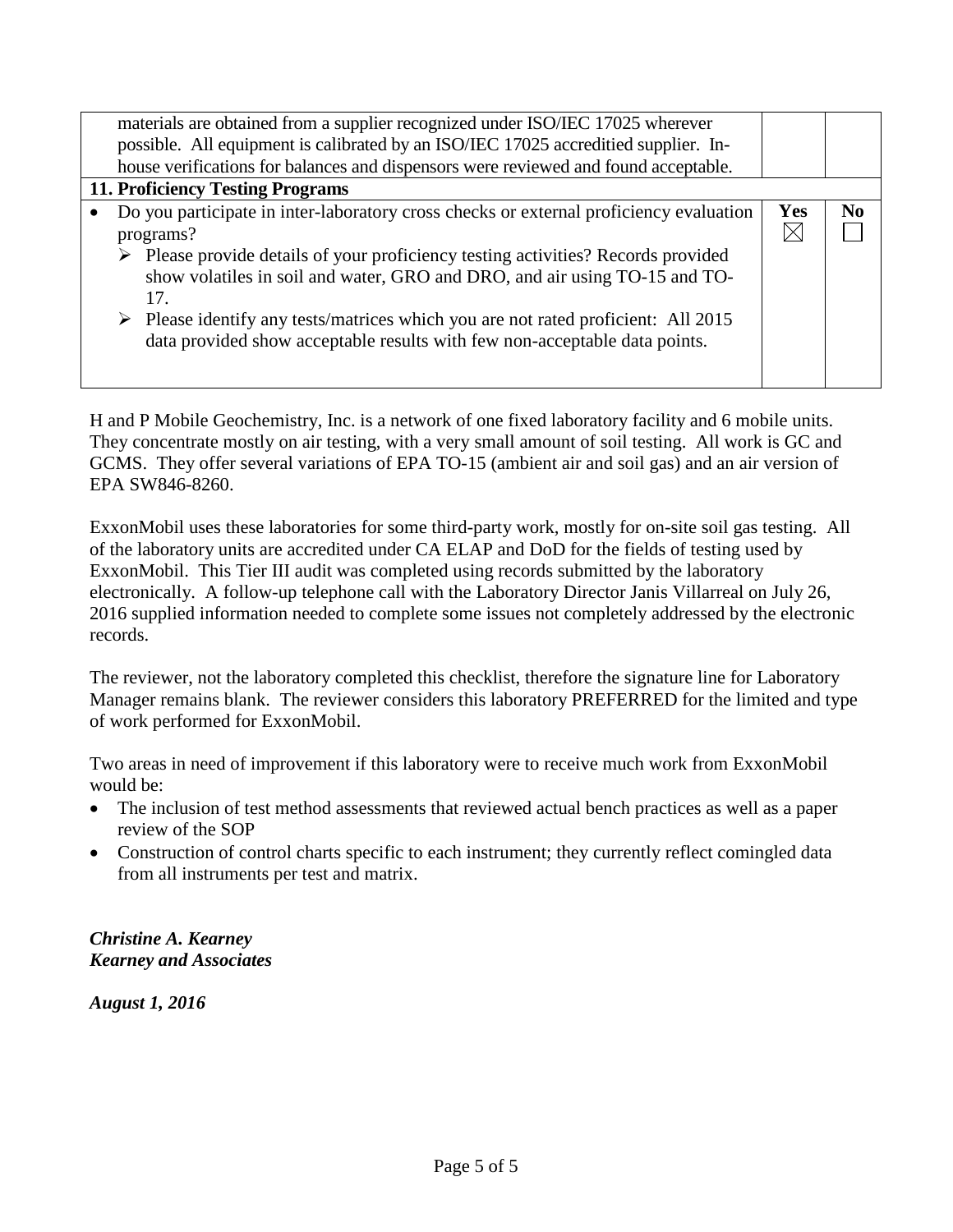|                                  | materials are obtained from a supplier recognized under ISO/IEC 17025 wherever                                                                                                 |           |    |
|----------------------------------|--------------------------------------------------------------------------------------------------------------------------------------------------------------------------------|-----------|----|
|                                  | possible. All equipment is calibrated by an ISO/IEC 17025 accreditied supplier. In-                                                                                            |           |    |
|                                  | house verifications for balances and dispensors were reviewed and found acceptable.                                                                                            |           |    |
| 11. Proficiency Testing Programs |                                                                                                                                                                                |           |    |
|                                  | Do you participate in inter-laboratory cross checks or external proficiency evaluation<br>programs?                                                                            | Yes<br>IX | No |
|                                  | > Please provide details of your proficiency testing activities? Records provided<br>show volatiles in soil and water, GRO and DRO, and air using TO-15 and TO-<br>17.         |           |    |
|                                  | $\triangleright$ Please identify any tests/matrices which you are not rated proficient: All 2015<br>data provided show acceptable results with few non-acceptable data points. |           |    |

H and P Mobile Geochemistry, Inc. is a network of one fixed laboratory facility and 6 mobile units. They concentrate mostly on air testing, with a very small amount of soil testing. All work is GC and GCMS. They offer several variations of EPA TO-15 (ambient air and soil gas) and an air version of EPA SW846-8260.

ExxonMobil uses these laboratories for some third-party work, mostly for on-site soil gas testing. All of the laboratory units are accredited under CA ELAP and DoD for the fields of testing used by ExxonMobil. This Tier III audit was completed using records submitted by the laboratory electronically. A follow-up telephone call with the Laboratory Director Janis Villarreal on July 26, 2016 supplied information needed to complete some issues not completely addressed by the electronic records.

The reviewer, not the laboratory completed this checklist, therefore the signature line for Laboratory Manager remains blank. The reviewer considers this laboratory PREFERRED for the limited and type of work performed for ExxonMobil.

Two areas in need of improvement if this laboratory were to receive much work from ExxonMobil would be:

- The inclusion of test method assessments that reviewed actual bench practices as well as a paper review of the SOP
- Construction of control charts specific to each instrument; they currently reflect comingled data from all instruments per test and matrix.

*Christine A. Kearney Kearney and Associates*

*August 1, 2016*